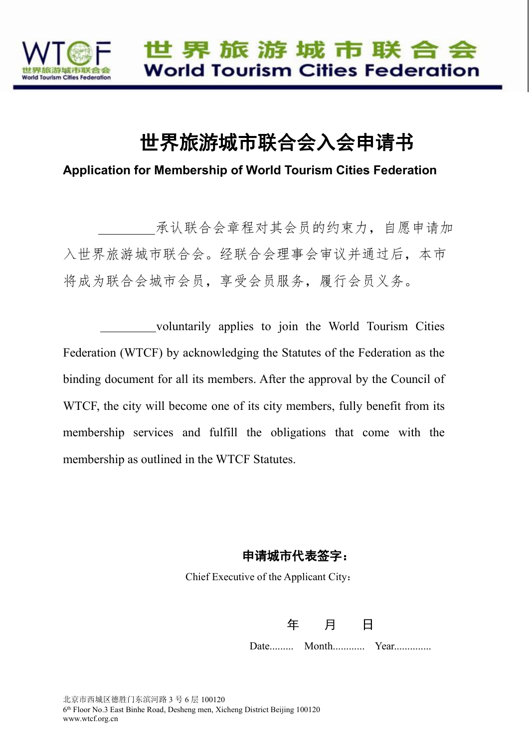

# 世界旅游城市联合会入会申请书

**Application for Membership of World Tourism Cities Federation**

承认联合会章程对其会员的约束力,自愿申请加 入世界旅游城市联合会。经联合会理事会审议并通过后,本市 将成为联合会城市会员,享受会员服务,履行会员义务。

voluntarily applies to join the World Tourism Cities Federation (WTCF) by acknowledging the Statutes of the Federation as the binding document for all its members. After the approval by the Council of WTCF, the city will become one of its city members, fully benefit from its membership services and fulfill the obligations that come with the membership as outlined in the WTCF Statutes.

#### 申请城市代表签字:

Chief Executive of the Applicant City:

年 月 日

Date......... Month............ Year..............